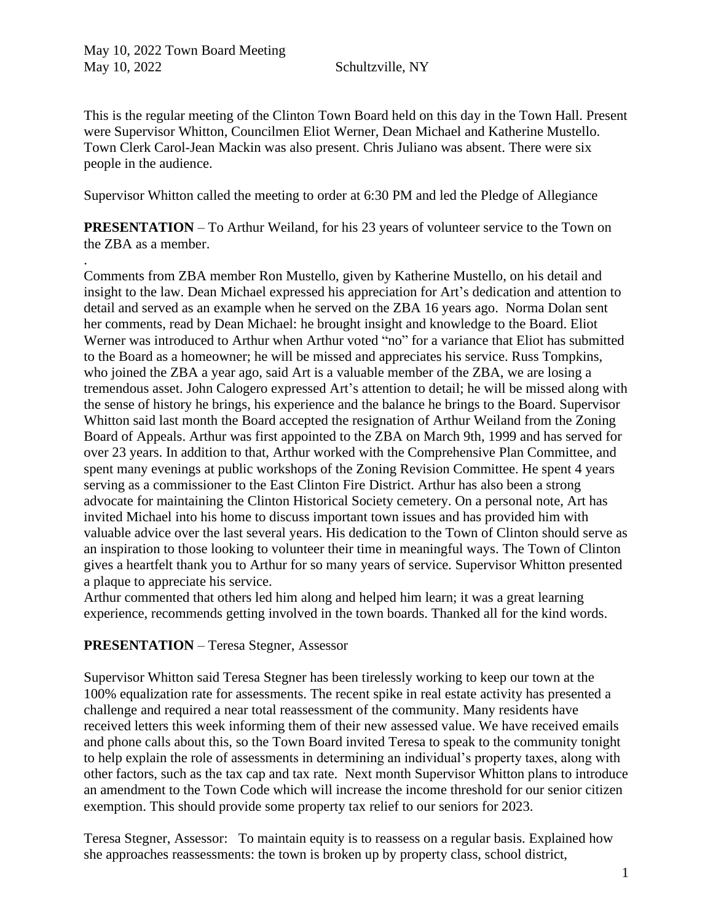.

This is the regular meeting of the Clinton Town Board held on this day in the Town Hall. Present were Supervisor Whitton, Councilmen Eliot Werner, Dean Michael and Katherine Mustello. Town Clerk Carol-Jean Mackin was also present. Chris Juliano was absent. There were six people in the audience.

Supervisor Whitton called the meeting to order at 6:30 PM and led the Pledge of Allegiance

**PRESENTATION** – To Arthur Weiland, for his 23 years of volunteer service to the Town on the ZBA as a member.

Comments from ZBA member Ron Mustello, given by Katherine Mustello, on his detail and insight to the law. Dean Michael expressed his appreciation for Art's dedication and attention to detail and served as an example when he served on the ZBA 16 years ago. Norma Dolan sent her comments, read by Dean Michael: he brought insight and knowledge to the Board. Eliot Werner was introduced to Arthur when Arthur voted "no" for a variance that Eliot has submitted to the Board as a homeowner; he will be missed and appreciates his service. Russ Tompkins, who joined the ZBA a year ago, said Art is a valuable member of the ZBA, we are losing a tremendous asset. John Calogero expressed Art's attention to detail; he will be missed along with the sense of history he brings, his experience and the balance he brings to the Board. Supervisor Whitton said last month the Board accepted the resignation of Arthur Weiland from the Zoning Board of Appeals. Arthur was first appointed to the ZBA on March 9th, 1999 and has served for over 23 years. In addition to that, Arthur worked with the Comprehensive Plan Committee, and spent many evenings at public workshops of the Zoning Revision Committee. He spent 4 years serving as a commissioner to the East Clinton Fire District. Arthur has also been a strong advocate for maintaining the Clinton Historical Society cemetery. On a personal note, Art has invited Michael into his home to discuss important town issues and has provided him with valuable advice over the last several years. His dedication to the Town of Clinton should serve as an inspiration to those looking to volunteer their time in meaningful ways. The Town of Clinton gives a heartfelt thank you to Arthur for so many years of service. Supervisor Whitton presented a plaque to appreciate his service.

Arthur commented that others led him along and helped him learn; it was a great learning experience, recommends getting involved in the town boards. Thanked all for the kind words.

### **PRESENTATION** – Teresa Stegner, Assessor

Supervisor Whitton said Teresa Stegner has been tirelessly working to keep our town at the 100% equalization rate for assessments. The recent spike in real estate activity has presented a challenge and required a near total reassessment of the community. Many residents have received letters this week informing them of their new assessed value. We have received emails and phone calls about this, so the Town Board invited Teresa to speak to the community tonight to help explain the role of assessments in determining an individual's property taxes, along with other factors, such as the tax cap and tax rate. Next month Supervisor Whitton plans to introduce an amendment to the Town Code which will increase the income threshold for our senior citizen exemption. This should provide some property tax relief to our seniors for 2023.

Teresa Stegner, Assessor: To maintain equity is to reassess on a regular basis. Explained how she approaches reassessments: the town is broken up by property class, school district,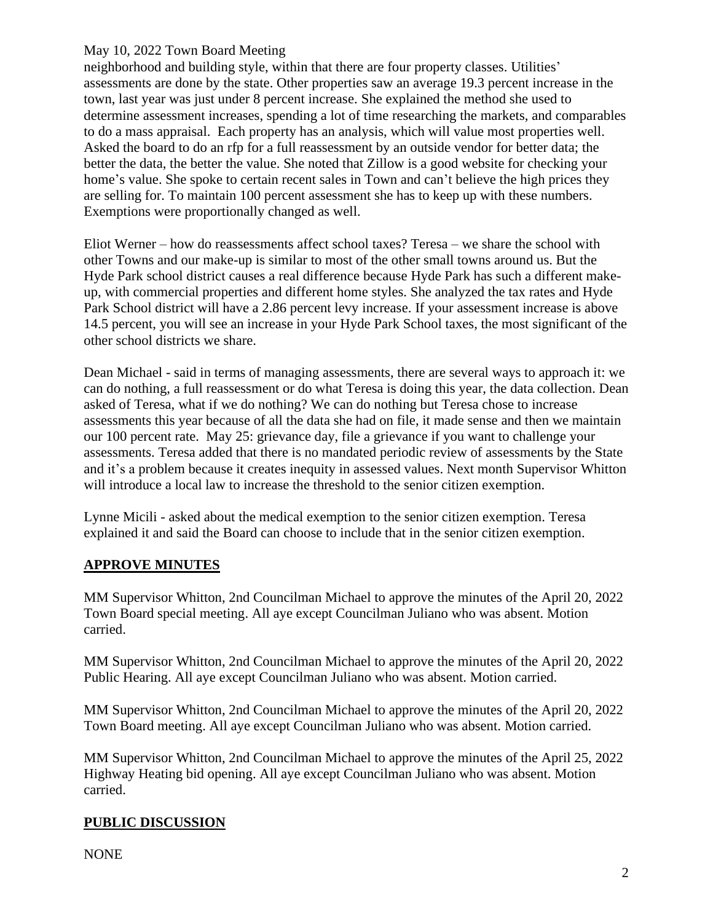neighborhood and building style, within that there are four property classes. Utilities' assessments are done by the state. Other properties saw an average 19.3 percent increase in the town, last year was just under 8 percent increase. She explained the method she used to determine assessment increases, spending a lot of time researching the markets, and comparables to do a mass appraisal. Each property has an analysis, which will value most properties well. Asked the board to do an rfp for a full reassessment by an outside vendor for better data; the better the data, the better the value. She noted that Zillow is a good website for checking your home's value. She spoke to certain recent sales in Town and can't believe the high prices they are selling for. To maintain 100 percent assessment she has to keep up with these numbers. Exemptions were proportionally changed as well.

Eliot Werner – how do reassessments affect school taxes? Teresa – we share the school with other Towns and our make-up is similar to most of the other small towns around us. But the Hyde Park school district causes a real difference because Hyde Park has such a different makeup, with commercial properties and different home styles. She analyzed the tax rates and Hyde Park School district will have a 2.86 percent levy increase. If your assessment increase is above 14.5 percent, you will see an increase in your Hyde Park School taxes, the most significant of the other school districts we share.

Dean Michael - said in terms of managing assessments, there are several ways to approach it: we can do nothing, a full reassessment or do what Teresa is doing this year, the data collection. Dean asked of Teresa, what if we do nothing? We can do nothing but Teresa chose to increase assessments this year because of all the data she had on file, it made sense and then we maintain our 100 percent rate. May 25: grievance day, file a grievance if you want to challenge your assessments. Teresa added that there is no mandated periodic review of assessments by the State and it's a problem because it creates inequity in assessed values. Next month Supervisor Whitton will introduce a local law to increase the threshold to the senior citizen exemption.

Lynne Micili - asked about the medical exemption to the senior citizen exemption. Teresa explained it and said the Board can choose to include that in the senior citizen exemption.

## **APPROVE MINUTES**

MM Supervisor Whitton, 2nd Councilman Michael to approve the minutes of the April 20, 2022 Town Board special meeting. All aye except Councilman Juliano who was absent. Motion carried.

MM Supervisor Whitton, 2nd Councilman Michael to approve the minutes of the April 20, 2022 Public Hearing. All aye except Councilman Juliano who was absent. Motion carried.

MM Supervisor Whitton, 2nd Councilman Michael to approve the minutes of the April 20, 2022 Town Board meeting. All aye except Councilman Juliano who was absent. Motion carried.

MM Supervisor Whitton, 2nd Councilman Michael to approve the minutes of the April 25, 2022 Highway Heating bid opening. All aye except Councilman Juliano who was absent. Motion carried.

## **PUBLIC DISCUSSION**

NONE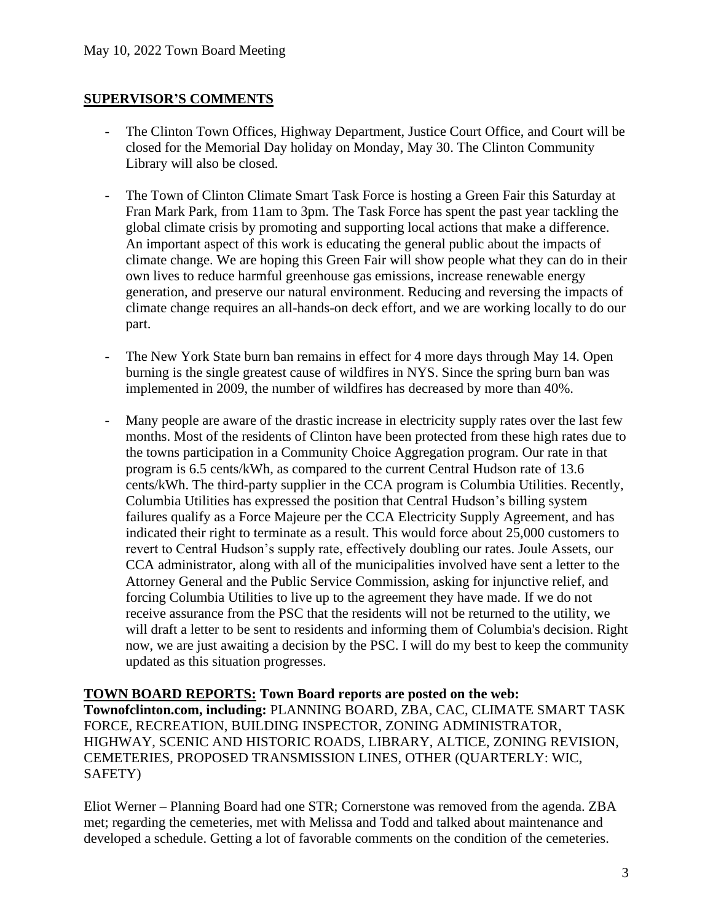### **SUPERVISOR'S COMMENTS**

- The Clinton Town Offices, Highway Department, Justice Court Office, and Court will be closed for the Memorial Day holiday on Monday, May 30. The Clinton Community Library will also be closed.
- The Town of Clinton Climate Smart Task Force is hosting a Green Fair this Saturday at Fran Mark Park, from 11am to 3pm. The Task Force has spent the past year tackling the global climate crisis by promoting and supporting local actions that make a difference. An important aspect of this work is educating the general public about the impacts of climate change. We are hoping this Green Fair will show people what they can do in their own lives to reduce harmful greenhouse gas emissions, increase renewable energy generation, and preserve our natural environment. Reducing and reversing the impacts of climate change requires an all-hands-on deck effort, and we are working locally to do our part.
- The New York State burn ban remains in effect for 4 more days through May 14. Open burning is the single greatest cause of wildfires in NYS. Since the spring burn ban was implemented in 2009, the number of wildfires has decreased by more than 40%.
- Many people are aware of the drastic increase in electricity supply rates over the last few months. Most of the residents of Clinton have been protected from these high rates due to the towns participation in a Community Choice Aggregation program. Our rate in that program is 6.5 cents/kWh, as compared to the current Central Hudson rate of 13.6 cents/kWh. The third-party supplier in the CCA program is Columbia Utilities. Recently, Columbia Utilities has expressed the position that Central Hudson's billing system failures qualify as a Force Majeure per the CCA Electricity Supply Agreement, and has indicated their right to terminate as a result. This would force about 25,000 customers to revert to Central Hudson's supply rate, effectively doubling our rates. Joule Assets, our CCA administrator, along with all of the municipalities involved have sent a letter to the Attorney General and the Public Service Commission, asking for injunctive relief, and forcing Columbia Utilities to live up to the agreement they have made. If we do not receive assurance from the PSC that the residents will not be returned to the utility, we will draft a letter to be sent to residents and informing them of Columbia's decision. Right now, we are just awaiting a decision by the PSC. I will do my best to keep the community updated as this situation progresses.

**TOWN BOARD REPORTS: Town Board reports are posted on the web: Townofclinton.com, including:** PLANNING BOARD, ZBA, CAC, CLIMATE SMART TASK FORCE, RECREATION, BUILDING INSPECTOR, ZONING ADMINISTRATOR, HIGHWAY, SCENIC AND HISTORIC ROADS, LIBRARY, ALTICE, ZONING REVISION, CEMETERIES, PROPOSED TRANSMISSION LINES, OTHER (QUARTERLY: WIC, SAFETY)

Eliot Werner – Planning Board had one STR; Cornerstone was removed from the agenda. ZBA met; regarding the cemeteries, met with Melissa and Todd and talked about maintenance and developed a schedule. Getting a lot of favorable comments on the condition of the cemeteries.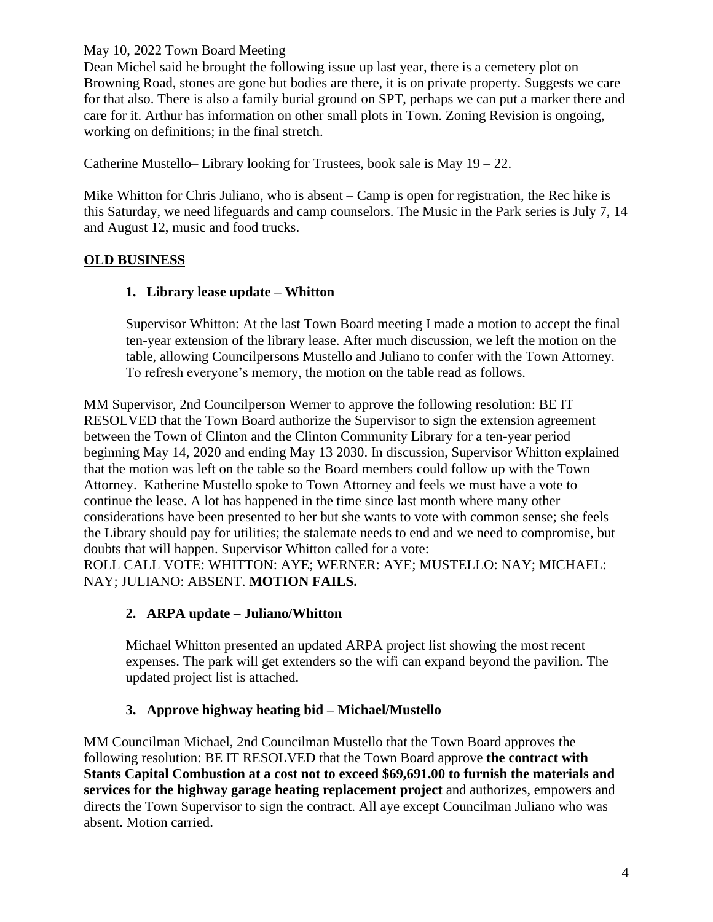Dean Michel said he brought the following issue up last year, there is a cemetery plot on Browning Road, stones are gone but bodies are there, it is on private property. Suggests we care for that also. There is also a family burial ground on SPT, perhaps we can put a marker there and care for it. Arthur has information on other small plots in Town. Zoning Revision is ongoing, working on definitions; in the final stretch.

Catherine Mustello– Library looking for Trustees, book sale is May 19 – 22.

Mike Whitton for Chris Juliano, who is absent – Camp is open for registration, the Rec hike is this Saturday, we need lifeguards and camp counselors. The Music in the Park series is July 7, 14 and August 12, music and food trucks.

## **OLD BUSINESS**

## **1. Library lease update – Whitton**

Supervisor Whitton: At the last Town Board meeting I made a motion to accept the final ten-year extension of the library lease. After much discussion, we left the motion on the table, allowing Councilpersons Mustello and Juliano to confer with the Town Attorney. To refresh everyone's memory, the motion on the table read as follows.

MM Supervisor, 2nd Councilperson Werner to approve the following resolution: BE IT RESOLVED that the Town Board authorize the Supervisor to sign the extension agreement between the Town of Clinton and the Clinton Community Library for a ten-year period beginning May 14, 2020 and ending May 13 2030. In discussion, Supervisor Whitton explained that the motion was left on the table so the Board members could follow up with the Town Attorney. Katherine Mustello spoke to Town Attorney and feels we must have a vote to continue the lease. A lot has happened in the time since last month where many other considerations have been presented to her but she wants to vote with common sense; she feels the Library should pay for utilities; the stalemate needs to end and we need to compromise, but doubts that will happen. Supervisor Whitton called for a vote:

ROLL CALL VOTE: WHITTON: AYE; WERNER: AYE; MUSTELLO: NAY; MICHAEL: NAY; JULIANO: ABSENT. **MOTION FAILS.**

## **2. ARPA update – Juliano/Whitton**

Michael Whitton presented an updated ARPA project list showing the most recent expenses. The park will get extenders so the wifi can expand beyond the pavilion. The updated project list is attached.

## **3. Approve highway heating bid – Michael/Mustello**

MM Councilman Michael, 2nd Councilman Mustello that the Town Board approves the following resolution: BE IT RESOLVED that the Town Board approve **the contract with Stants Capital Combustion at a cost not to exceed \$69,691.00 to furnish the materials and services for the highway garage heating replacement project** and authorizes, empowers and directs the Town Supervisor to sign the contract. All aye except Councilman Juliano who was absent. Motion carried.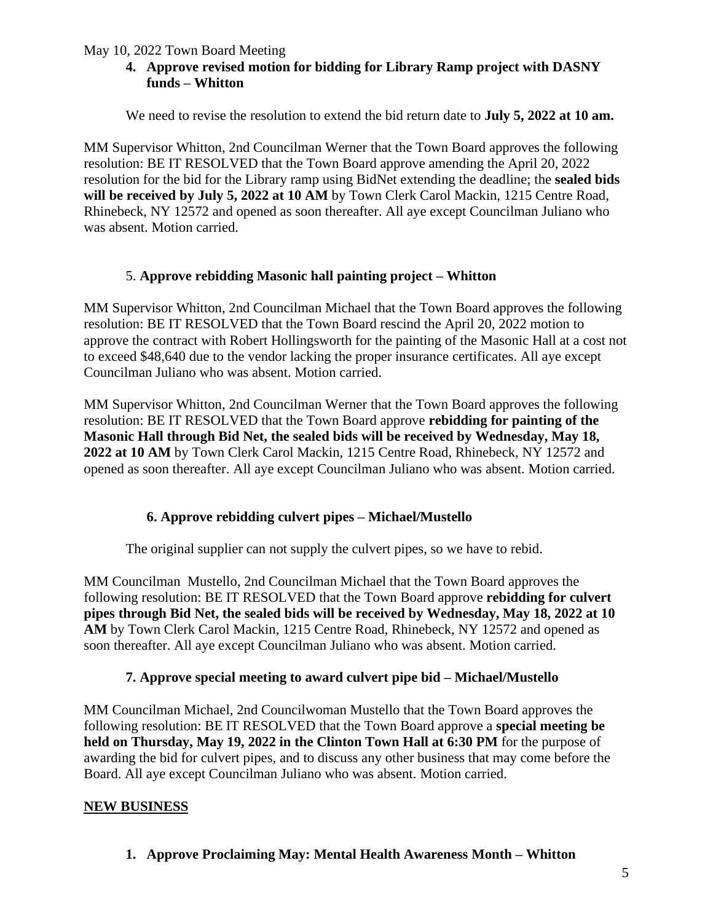### **4. Approve revised motion for bidding for Library Ramp project with DASNY funds – Whitton**

We need to revise the resolution to extend the bid return date to **July 5, 2022 at 10 am.**

MM Supervisor Whitton, 2nd Councilman Werner that the Town Board approves the following resolution: BE IT RESOLVED that the Town Board approve amending the April 20, 2022 resolution for the bid for the Library ramp using BidNet extending the deadline; the **sealed bids will be received by July 5, 2022 at 10 AM** by Town Clerk Carol Mackin, 1215 Centre Road, Rhinebeck, NY 12572 and opened as soon thereafter. All aye except Councilman Juliano who was absent. Motion carried.

#### 5. **Approve rebidding Masonic hall painting project – Whitton**

MM Supervisor Whitton, 2nd Councilman Michael that the Town Board approves the following resolution: BE IT RESOLVED that the Town Board rescind the April 20, 2022 motion to approve the contract with Robert Hollingsworth for the painting of the Masonic Hall at a cost not to exceed \$48,640 due to the vendor lacking the proper insurance certificates. All aye except Councilman Juliano who was absent. Motion carried.

MM Supervisor Whitton, 2nd Councilman Werner that the Town Board approves the following resolution: BE IT RESOLVED that the Town Board approve **rebidding for painting of the Masonic Hall through Bid Net, the sealed bids will be received by Wednesday, May 18, 2022 at 10 AM** by Town Clerk Carol Mackin, 1215 Centre Road, Rhinebeck, NY 12572 and opened as soon thereafter. All aye except Councilman Juliano who was absent. Motion carried.

### **6. Approve rebidding culvert pipes – Michael/Mustello**

The original supplier can not supply the culvert pipes, so we have to rebid.

MM Councilman Mustello, 2nd Councilman Michael that the Town Board approves the following resolution: BE IT RESOLVED that the Town Board approve **rebidding for culvert pipes through Bid Net, the sealed bids will be received by Wednesday, May 18, 2022 at 10 AM** by Town Clerk Carol Mackin, 1215 Centre Road, Rhinebeck, NY 12572 and opened as soon thereafter. All aye except Councilman Juliano who was absent. Motion carried.

#### **7. Approve special meeting to award culvert pipe bid – Michael/Mustello**

MM Councilman Michael, 2nd Councilwoman Mustello that the Town Board approves the following resolution: BE IT RESOLVED that the Town Board approve a **special meeting be held on Thursday, May 19, 2022 in the Clinton Town Hall at 6:30 PM** for the purpose of awarding the bid for culvert pipes, and to discuss any other business that may come before the Board. All aye except Councilman Juliano who was absent. Motion carried.

#### **NEW BUSINESS**

**1. Approve Proclaiming May: Mental Health Awareness Month – Whitton**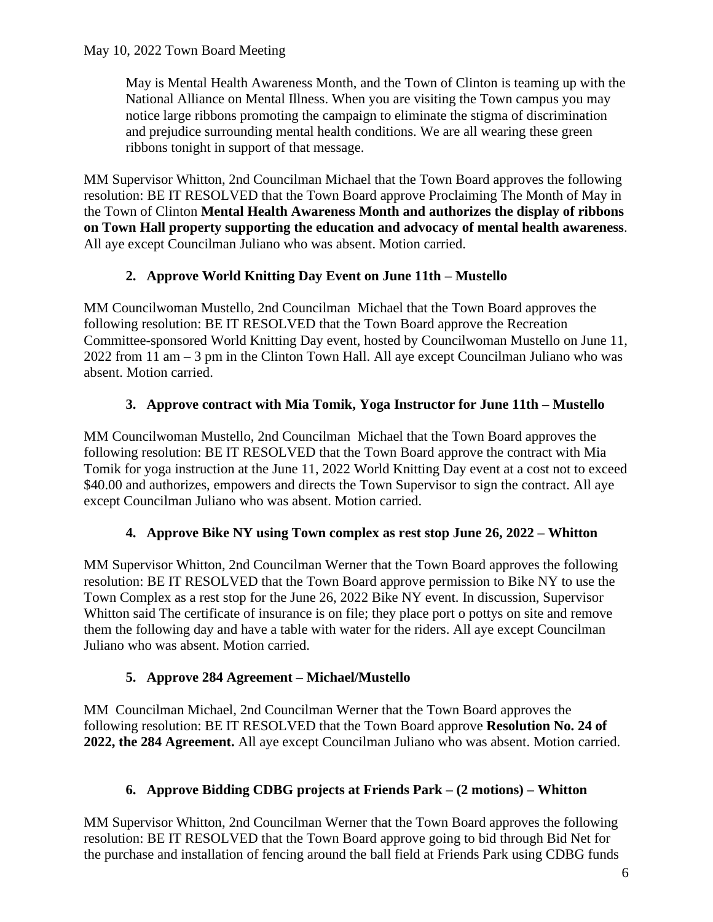May is Mental Health Awareness Month, and the Town of Clinton is teaming up with the National Alliance on Mental Illness. When you are visiting the Town campus you may notice large ribbons promoting the campaign to eliminate the stigma of discrimination and prejudice surrounding mental health conditions. We are all wearing these green ribbons tonight in support of that message.

MM Supervisor Whitton, 2nd Councilman Michael that the Town Board approves the following resolution: BE IT RESOLVED that the Town Board approve Proclaiming The Month of May in the Town of Clinton **Mental Health Awareness Month and authorizes the display of ribbons on Town Hall property supporting the education and advocacy of mental health awareness**. All aye except Councilman Juliano who was absent. Motion carried.

# **2. Approve World Knitting Day Event on June 11th – Mustello**

MM Councilwoman Mustello, 2nd Councilman Michael that the Town Board approves the following resolution: BE IT RESOLVED that the Town Board approve the Recreation Committee-sponsored World Knitting Day event, hosted by Councilwoman Mustello on June 11, 2022 from 11 am – 3 pm in the Clinton Town Hall. All aye except Councilman Juliano who was absent. Motion carried.

# **3. Approve contract with Mia Tomik, Yoga Instructor for June 11th – Mustello**

MM Councilwoman Mustello, 2nd Councilman Michael that the Town Board approves the following resolution: BE IT RESOLVED that the Town Board approve the contract with Mia Tomik for yoga instruction at the June 11, 2022 World Knitting Day event at a cost not to exceed \$40.00 and authorizes, empowers and directs the Town Supervisor to sign the contract. All aye except Councilman Juliano who was absent. Motion carried.

# **4. Approve Bike NY using Town complex as rest stop June 26, 2022 – Whitton**

MM Supervisor Whitton, 2nd Councilman Werner that the Town Board approves the following resolution: BE IT RESOLVED that the Town Board approve permission to Bike NY to use the Town Complex as a rest stop for the June 26, 2022 Bike NY event. In discussion, Supervisor Whitton said The certificate of insurance is on file; they place port o pottys on site and remove them the following day and have a table with water for the riders. All aye except Councilman Juliano who was absent. Motion carried.

# **5. Approve 284 Agreement – Michael/Mustello**

MM Councilman Michael, 2nd Councilman Werner that the Town Board approves the following resolution: BE IT RESOLVED that the Town Board approve **Resolution No. 24 of 2022, the 284 Agreement.** All aye except Councilman Juliano who was absent. Motion carried.

# **6. Approve Bidding CDBG projects at Friends Park – (2 motions) – Whitton**

MM Supervisor Whitton, 2nd Councilman Werner that the Town Board approves the following resolution: BE IT RESOLVED that the Town Board approve going to bid through Bid Net for the purchase and installation of fencing around the ball field at Friends Park using CDBG funds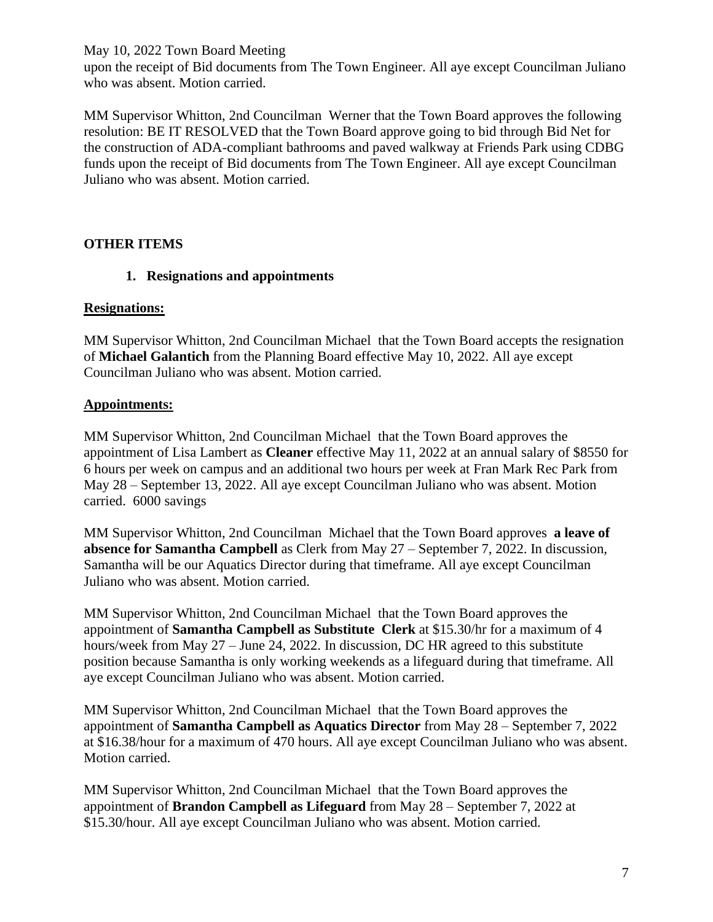upon the receipt of Bid documents from The Town Engineer. All aye except Councilman Juliano who was absent. Motion carried.

MM Supervisor Whitton, 2nd Councilman Werner that the Town Board approves the following resolution: BE IT RESOLVED that the Town Board approve going to bid through Bid Net for the construction of ADA-compliant bathrooms and paved walkway at Friends Park using CDBG funds upon the receipt of Bid documents from The Town Engineer. All aye except Councilman Juliano who was absent. Motion carried.

### **OTHER ITEMS**

### **1. Resignations and appointments**

#### **Resignations:**

MM Supervisor Whitton, 2nd Councilman Michael that the Town Board accepts the resignation of **Michael Galantich** from the Planning Board effective May 10, 2022. All aye except Councilman Juliano who was absent. Motion carried.

### **Appointments:**

MM Supervisor Whitton, 2nd Councilman Michael that the Town Board approves the appointment of Lisa Lambert as **Cleaner** effective May 11, 2022 at an annual salary of \$8550 for 6 hours per week on campus and an additional two hours per week at Fran Mark Rec Park from May 28 – September 13, 2022. All aye except Councilman Juliano who was absent. Motion carried. 6000 savings

MM Supervisor Whitton, 2nd Councilman Michael that the Town Board approves **a leave of absence for Samantha Campbell** as Clerk from May 27 – September 7, 2022. In discussion, Samantha will be our Aquatics Director during that timeframe. All aye except Councilman Juliano who was absent. Motion carried.

MM Supervisor Whitton, 2nd Councilman Michael that the Town Board approves the appointment of **Samantha Campbell as Substitute Clerk** at \$15.30/hr for a maximum of 4 hours/week from May 27 – June 24, 2022. In discussion, DC HR agreed to this substitute position because Samantha is only working weekends as a lifeguard during that timeframe. All aye except Councilman Juliano who was absent. Motion carried.

MM Supervisor Whitton, 2nd Councilman Michael that the Town Board approves the appointment of **Samantha Campbell as Aquatics Director** from May 28 – September 7, 2022 at \$16.38/hour for a maximum of 470 hours. All aye except Councilman Juliano who was absent. Motion carried.

MM Supervisor Whitton, 2nd Councilman Michael that the Town Board approves the appointment of **Brandon Campbell as Lifeguard** from May 28 – September 7, 2022 at \$15.30/hour. All aye except Councilman Juliano who was absent. Motion carried.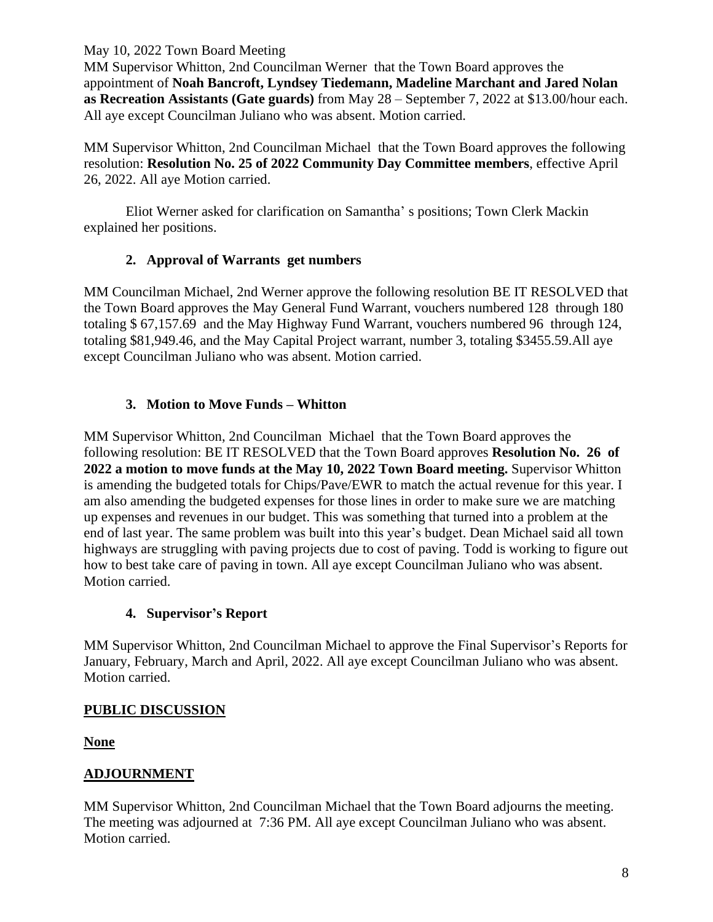MM Supervisor Whitton, 2nd Councilman Werner that the Town Board approves the appointment of **Noah Bancroft, Lyndsey Tiedemann, Madeline Marchant and Jared Nolan as Recreation Assistants (Gate guards)** from May 28 – September 7, 2022 at \$13.00/hour each. All aye except Councilman Juliano who was absent. Motion carried.

MM Supervisor Whitton, 2nd Councilman Michael that the Town Board approves the following resolution: **Resolution No. 25 of 2022 Community Day Committee members**, effective April 26, 2022. All aye Motion carried.

Eliot Werner asked for clarification on Samantha' s positions; Town Clerk Mackin explained her positions.

### **2. Approval of Warrants get numbers**

MM Councilman Michael, 2nd Werner approve the following resolution BE IT RESOLVED that the Town Board approves the May General Fund Warrant, vouchers numbered 128 through 180 totaling \$ 67,157.69 and the May Highway Fund Warrant, vouchers numbered 96 through 124, totaling \$81,949.46, and the May Capital Project warrant, number 3, totaling \$3455.59.All aye except Councilman Juliano who was absent. Motion carried.

### **3. Motion to Move Funds – Whitton**

MM Supervisor Whitton, 2nd Councilman Michael that the Town Board approves the following resolution: BE IT RESOLVED that the Town Board approves **Resolution No. 26 of 2022 a motion to move funds at the May 10, 2022 Town Board meeting.** Supervisor Whitton is amending the budgeted totals for Chips/Pave/EWR to match the actual revenue for this year. I am also amending the budgeted expenses for those lines in order to make sure we are matching up expenses and revenues in our budget. This was something that turned into a problem at the end of last year. The same problem was built into this year's budget. Dean Michael said all town highways are struggling with paving projects due to cost of paving. Todd is working to figure out how to best take care of paving in town. All aye except Councilman Juliano who was absent. Motion carried.

### **4. Supervisor's Report**

MM Supervisor Whitton, 2nd Councilman Michael to approve the Final Supervisor's Reports for January, February, March and April, 2022. All aye except Councilman Juliano who was absent. Motion carried.

## **PUBLIC DISCUSSION**

**None**

## **ADJOURNMENT**

MM Supervisor Whitton, 2nd Councilman Michael that the Town Board adjourns the meeting. The meeting was adjourned at 7:36 PM. All aye except Councilman Juliano who was absent. Motion carried.